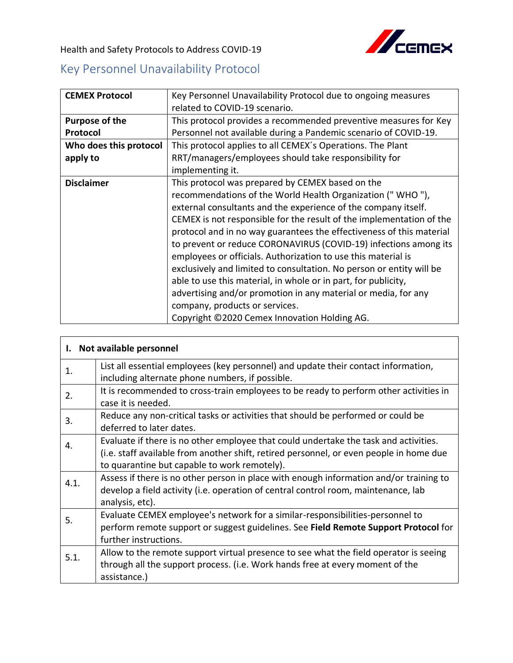

Health and Safety Protocols to Address COVID-19

## Key Personnel Unavailability Protocol

| <b>CEMEX Protocol</b>  | Key Personnel Unavailability Protocol due to ongoing measures        |
|------------------------|----------------------------------------------------------------------|
|                        | related to COVID-19 scenario.                                        |
| Purpose of the         | This protocol provides a recommended preventive measures for Key     |
| Protocol               | Personnel not available during a Pandemic scenario of COVID-19.      |
| Who does this protocol | This protocol applies to all CEMEX's Operations. The Plant           |
| apply to               | RRT/managers/employees should take responsibility for                |
|                        | implementing it.                                                     |
| <b>Disclaimer</b>      | This protocol was prepared by CEMEX based on the                     |
|                        | recommendations of the World Health Organization ("WHO"),            |
|                        | external consultants and the experience of the company itself.       |
|                        | CEMEX is not responsible for the result of the implementation of the |
|                        | protocol and in no way guarantees the effectiveness of this material |
|                        | to prevent or reduce CORONAVIRUS (COVID-19) infections among its     |
|                        | employees or officials. Authorization to use this material is        |
|                        | exclusively and limited to consultation. No person or entity will be |
|                        | able to use this material, in whole or in part, for publicity,       |
|                        | advertising and/or promotion in any material or media, for any       |
|                        | company, products or services.                                       |
|                        | Copyright ©2020 Cemex Innovation Holding AG.                         |

| I. Not available personnel |                                                                                                                                                                                                                                 |  |
|----------------------------|---------------------------------------------------------------------------------------------------------------------------------------------------------------------------------------------------------------------------------|--|
| 1.                         | List all essential employees (key personnel) and update their contact information,<br>including alternate phone numbers, if possible.                                                                                           |  |
| 2.                         | It is recommended to cross-train employees to be ready to perform other activities in<br>case it is needed.                                                                                                                     |  |
| 3.                         | Reduce any non-critical tasks or activities that should be performed or could be<br>deferred to later dates.                                                                                                                    |  |
| 4.                         | Evaluate if there is no other employee that could undertake the task and activities.<br>(i.e. staff available from another shift, retired personnel, or even people in home due<br>to quarantine but capable to work remotely). |  |
| 4.1.                       | Assess if there is no other person in place with enough information and/or training to<br>develop a field activity (i.e. operation of central control room, maintenance, lab<br>analysis, etc).                                 |  |
| 5.                         | Evaluate CEMEX employee's network for a similar-responsibilities-personnel to<br>perform remote support or suggest guidelines. See Field Remote Support Protocol for<br>further instructions.                                   |  |
| 5.1.                       | Allow to the remote support virtual presence to see what the field operator is seeing<br>through all the support process. (i.e. Work hands free at every moment of the<br>assistance.)                                          |  |